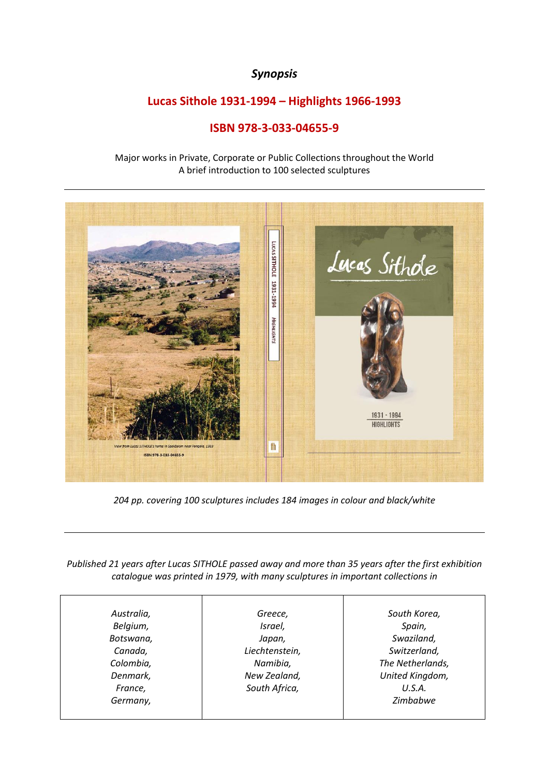## *Synopsis*

## **Lucas Sithole 1931-1994 – Highlights 1966-1993**

## **ISBN 978-3-033-04655-9**

Major works in Private, Corporate or Public Collections throughout the World A brief introduction to 100 selected sculptures



*204 pp. covering 100 sculptures includes 184 images in colour and black/white*

*Published 21 years after Lucas SITHOLE passed away and more than 35 years after the first exhibition catalogue was printed in 1979, with many sculptures in important collections in*

| Greece,        | South Korea,     |
|----------------|------------------|
|                |                  |
| Israel,        | Spain,           |
| Japan,         | Swaziland,       |
| Liechtenstein, | Switzerland,     |
| Namibia,       | The Netherlands, |
| New Zealand,   | United Kingdom,  |
| South Africa,  | U.S.A.           |
|                | Zimbabwe         |
|                |                  |